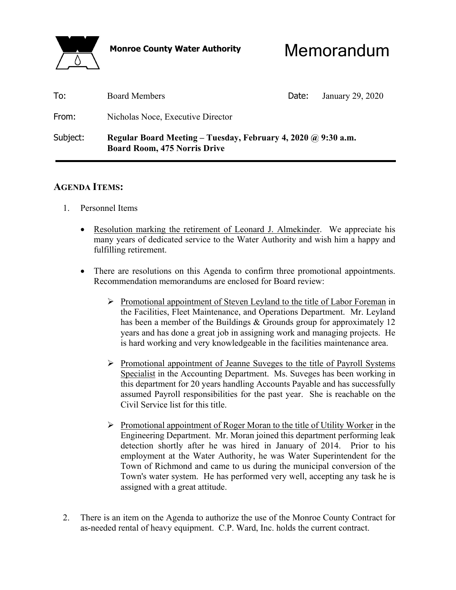

**Monroe County Water Authority** Memorandum

| To:      | <b>Board Members</b>                                                                                 | Date: | January 29, 2020 |
|----------|------------------------------------------------------------------------------------------------------|-------|------------------|
| From:    | Nicholas Noce, Executive Director                                                                    |       |                  |
| Subject: | Regular Board Meeting – Tuesday, February 4, 2020 @ 9:30 a.m.<br><b>Board Room, 475 Norris Drive</b> |       |                  |

# **AGENDA ITEMS:**

- 1. Personnel Items
	- Resolution marking the retirement of Leonard J. Almekinder. We appreciate his many years of dedicated service to the Water Authority and wish him a happy and fulfilling retirement.
	- There are resolutions on this Agenda to confirm three promotional appointments. Recommendation memorandums are enclosed for Board review:
		- $\triangleright$  Promotional appointment of Steven Leyland to the title of Labor Foreman in the Facilities, Fleet Maintenance, and Operations Department. Mr. Leyland has been a member of the Buildings & Grounds group for approximately 12 years and has done a great job in assigning work and managing projects. He is hard working and very knowledgeable in the facilities maintenance area.
		- $\triangleright$  Promotional appointment of Jeanne Suveges to the title of Payroll Systems Specialist in the Accounting Department. Ms. Suveges has been working in this department for 20 years handling Accounts Payable and has successfully assumed Payroll responsibilities for the past year. She is reachable on the Civil Service list for this title.
		- $\triangleright$  Promotional appointment of Roger Moran to the title of Utility Worker in the Engineering Department. Mr. Moran joined this department performing leak detection shortly after he was hired in January of 2014. Prior to his employment at the Water Authority, he was Water Superintendent for the Town of Richmond and came to us during the municipal conversion of the Town's water system. He has performed very well, accepting any task he is assigned with a great attitude.
- 2. There is an item on the Agenda to authorize the use of the Monroe County Contract for as-needed rental of heavy equipment. C.P. Ward, Inc. holds the current contract.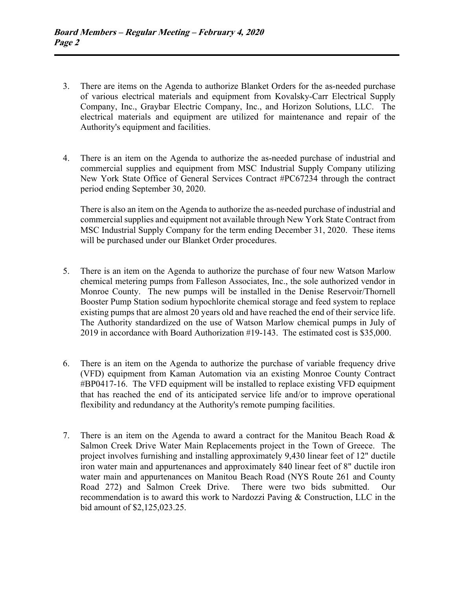- 3. There are items on the Agenda to authorize Blanket Orders for the as-needed purchase of various electrical materials and equipment from Kovalsky-Carr Electrical Supply Company, Inc., Graybar Electric Company, Inc., and Horizon Solutions, LLC. The electrical materials and equipment are utilized for maintenance and repair of the Authority's equipment and facilities.
- 4. There is an item on the Agenda to authorize the as-needed purchase of industrial and commercial supplies and equipment from MSC Industrial Supply Company utilizing New York State Office of General Services Contract #PC67234 through the contract period ending September 30, 2020.

 There is also an item on the Agenda to authorize the as-needed purchase of industrial and commercial supplies and equipment not available through New York State Contract from MSC Industrial Supply Company for the term ending December 31, 2020. These items will be purchased under our Blanket Order procedures.

- 5. There is an item on the Agenda to authorize the purchase of four new Watson Marlow chemical metering pumps from Falleson Associates, Inc., the sole authorized vendor in Monroe County. The new pumps will be installed in the Denise Reservoir/Thornell Booster Pump Station sodium hypochlorite chemical storage and feed system to replace existing pumps that are almost 20 years old and have reached the end of their service life. The Authority standardized on the use of Watson Marlow chemical pumps in July of 2019 in accordance with Board Authorization #19-143. The estimated cost is \$35,000.
- 6. There is an item on the Agenda to authorize the purchase of variable frequency drive (VFD) equipment from Kaman Automation via an existing Monroe County Contract #BP0417-16. The VFD equipment will be installed to replace existing VFD equipment that has reached the end of its anticipated service life and/or to improve operational flexibility and redundancy at the Authority's remote pumping facilities.
- 7. There is an item on the Agenda to award a contract for the Manitou Beach Road & Salmon Creek Drive Water Main Replacements project in the Town of Greece. The project involves furnishing and installing approximately 9,430 linear feet of 12" ductile iron water main and appurtenances and approximately 840 linear feet of 8" ductile iron water main and appurtenances on Manitou Beach Road (NYS Route 261 and County Road 272) and Salmon Creek Drive. There were two bids submitted. Our recommendation is to award this work to Nardozzi Paving & Construction, LLC in the bid amount of \$2,125,023.25.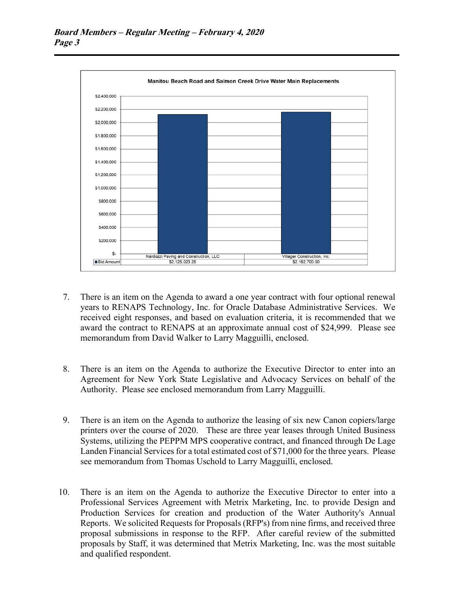

- 7. There is an item on the Agenda to award a one year contract with four optional renewal years to RENAPS Technology, Inc. for Oracle Database Administrative Services. We received eight responses, and based on evaluation criteria, it is recommended that we award the contract to RENAPS at an approximate annual cost of \$24,999. Please see memorandum from David Walker to Larry Magguilli, enclosed.
- 8. There is an item on the Agenda to authorize the Executive Director to enter into an Agreement for New York State Legislative and Advocacy Services on behalf of the Authority. Please see enclosed memorandum from Larry Magguilli.
- 9. There is an item on the Agenda to authorize the leasing of six new Canon copiers/large printers over the course of 2020. These are three year leases through United Business Systems, utilizing the PEPPM MPS cooperative contract, and financed through De Lage Landen Financial Services for a total estimated cost of \$71,000 for the three years. Please see memorandum from Thomas Uschold to Larry Magguilli, enclosed.
- 10. There is an item on the Agenda to authorize the Executive Director to enter into a Professional Services Agreement with Metrix Marketing, Inc. to provide Design and Production Services for creation and production of the Water Authority's Annual Reports. We solicited Requests for Proposals (RFP's) from nine firms, and received three proposal submissions in response to the RFP. After careful review of the submitted proposals by Staff, it was determined that Metrix Marketing, Inc. was the most suitable and qualified respondent.